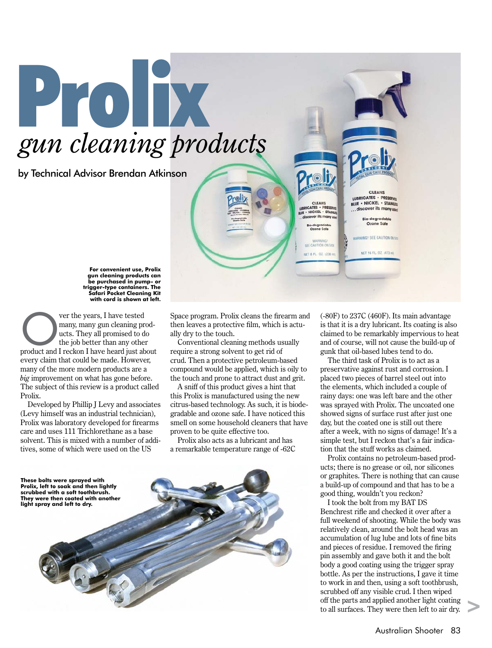## Prolix *gun cleaning products*

by Technical Advisor Brendan Atkinson

**For convenient use, Prolix gun cleaning products can be purchased in pump- or trigger-type containers. The Safari Pocket Cleaning Kit with cord is shown at left.**

ver the years, I have tested<br>
many, many gun cleaning products. They all promised to do<br>
the job better than any other<br>
product and I reckon I have heard just about many, many gun cleaning products. They all promised to do the job better than any other every claim that could be made. However, many of the more modern products are a *big* improvement on what has gone before. The subject of this review is a product called Prolix.

Developed by Phillip J Levy and associates (Levy himself was an industrial technician), Prolix was laboratory developed for firearms care and uses 111 Trichlorethane as a base solvent. This is mixed with a number of additives, some of which were used on the US

Space program. Prolix cleans the firearm and then leaves a protective film, which is actually dry to the touch.

Conventional cleaning methods usually require a strong solvent to get rid of crud. Then a protective petroleum-based compound would be applied, which is oily to the touch and prone to attract dust and grit.

A sniff of this product gives a hint that this Prolix is manufactured using the new citrus-based technology. As such, it is biodegradable and ozone safe. I have noticed this smell on some household cleaners that have proven to be quite effective too.

Prolix also acts as a lubricant and has a remarkable temperature range of -62C



(-80F) to 237C (460F). Its main advantage is that it is a dry lubricant. Its coating is also claimed to be remarkably impervious to heat and of course, will not cause the build-up of gunk that oil-based lubes tend to do.

CLEANS<br>LUBRICATES - PRESERVE

BLUE . NICKEL . STAINLEY discover its many **Bio-degradable** Ozone Sole

WARNING! SEE CAUTION ON SI

NET 16 FL. 02. (473 m)

CLEANS<br>UBRICATES . PRESERVEL<br>UUE . NICKEL . STAINER

o-degradab<br>Ozone Safe

ecc CALITION ON CITE

NFT & FL. 02. (236 m)

The third task of Prolix is to act as a preservative against rust and corrosion. I placed two pieces of barrel steel out into the elements, which included a couple of rainy days: one was left bare and the other was sprayed with Prolix. The uncoated one showed signs of surface rust after just one day, but the coated one is still out there after a week, with no signs of damage! It's a simple test, but I reckon that's a fair indication that the stuff works as claimed.

Prolix contains no petroleum-based products; there is no grease or oil, nor silicones or graphites. There is nothing that can cause a build-up of compound and that has to be a good thing, wouldn't you reckon?

I took the bolt from my BAT DS Benchrest rifle and checked it over after a full weekend of shooting. While the body was relatively clean, around the bolt head was an accumulation of lug lube and lots of fine bits and pieces of residue. I removed the firing pin assembly and gave both it and the bolt body a good coating using the trigger spray bottle. As per the instructions, I gave it time to work in and then, using a soft toothbrush, scrubbed off any visible crud. I then wiped off the parts and applied another light coating to all surfaces. They were then left to air dry.

>